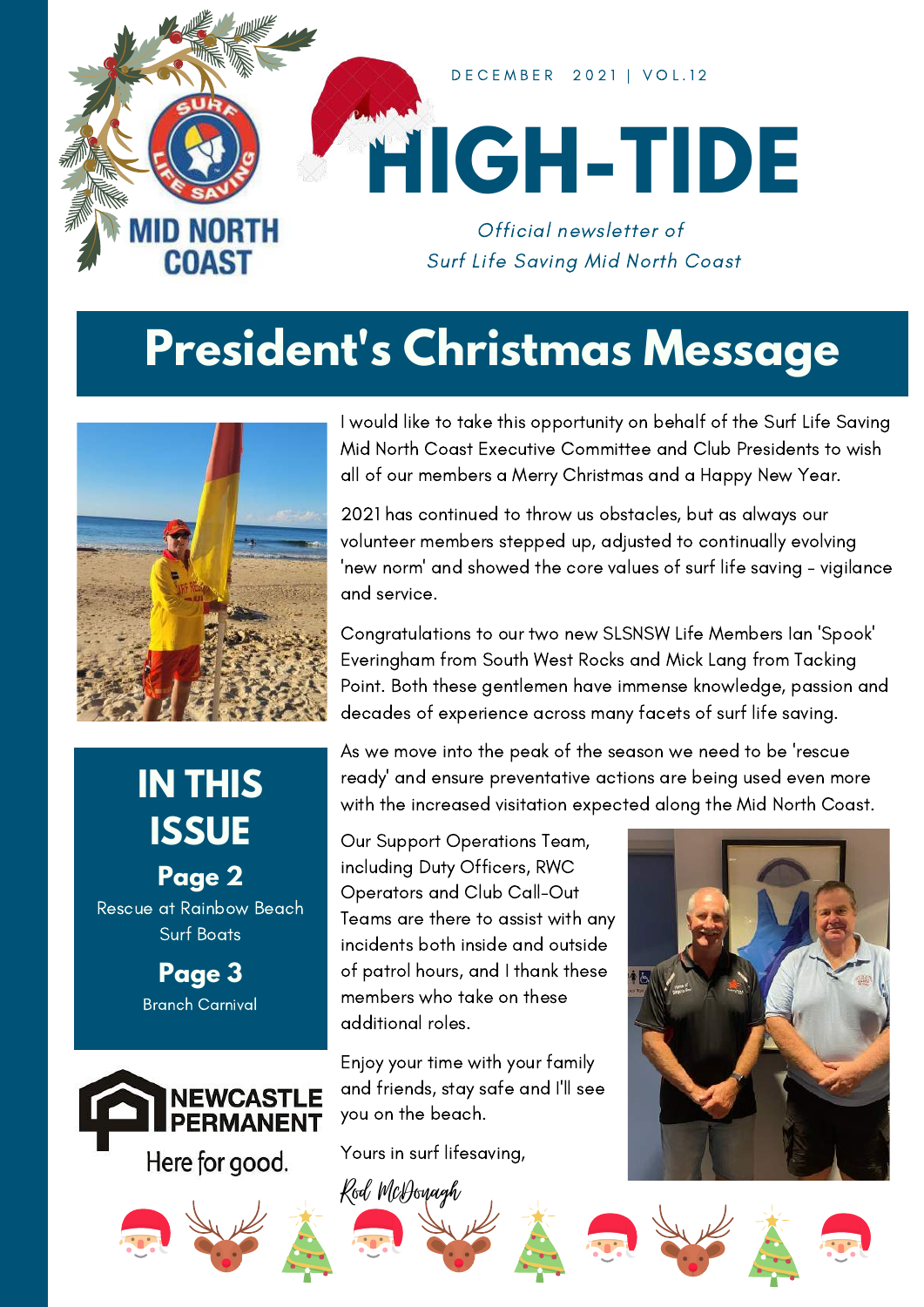

### **President's Christmas Message**



### **IN THIS ISSUE**

**Page 2** Rescue at Rainbow Beach Surf Boats

> **Page 3** Branch Carnival





I would like to take this opportunity on behalf of the Surf Life Saving Mid North Coast Executive Committee and Club Presidents to wish all of our members a Merry Christmas and a Happy New Year.

2021 has continued to throw us obstacles, but as always our volunteer members stepped up, adjusted to continually evolving 'new norm' and showed the core values of surf life saving - vigilance and service.

Congratulations to our two new SLSNSW Life Members Ian 'Spook' Everingham from South West Rocks and Mick Lang from Tacking Point. Both these gentlemen have immense knowledge, passion and decades of experience across many facets of surf life saving.

As we move into the peak of the season we need to be 'rescue ready' and ensure preventative actions are being used even more with the increased visitation expected along the Mid North Coast.

Our Support Operations Team, including Duty Officers, RWC Operators and Club Call-Out Teams are there to assist with any incidents both inside and outside of patrol hours, and I thank these members who take on these additional roles.

Enjoy your time with your family and friends, stay safe and I'll see you on the beach.

Yours in surf lifesaving,





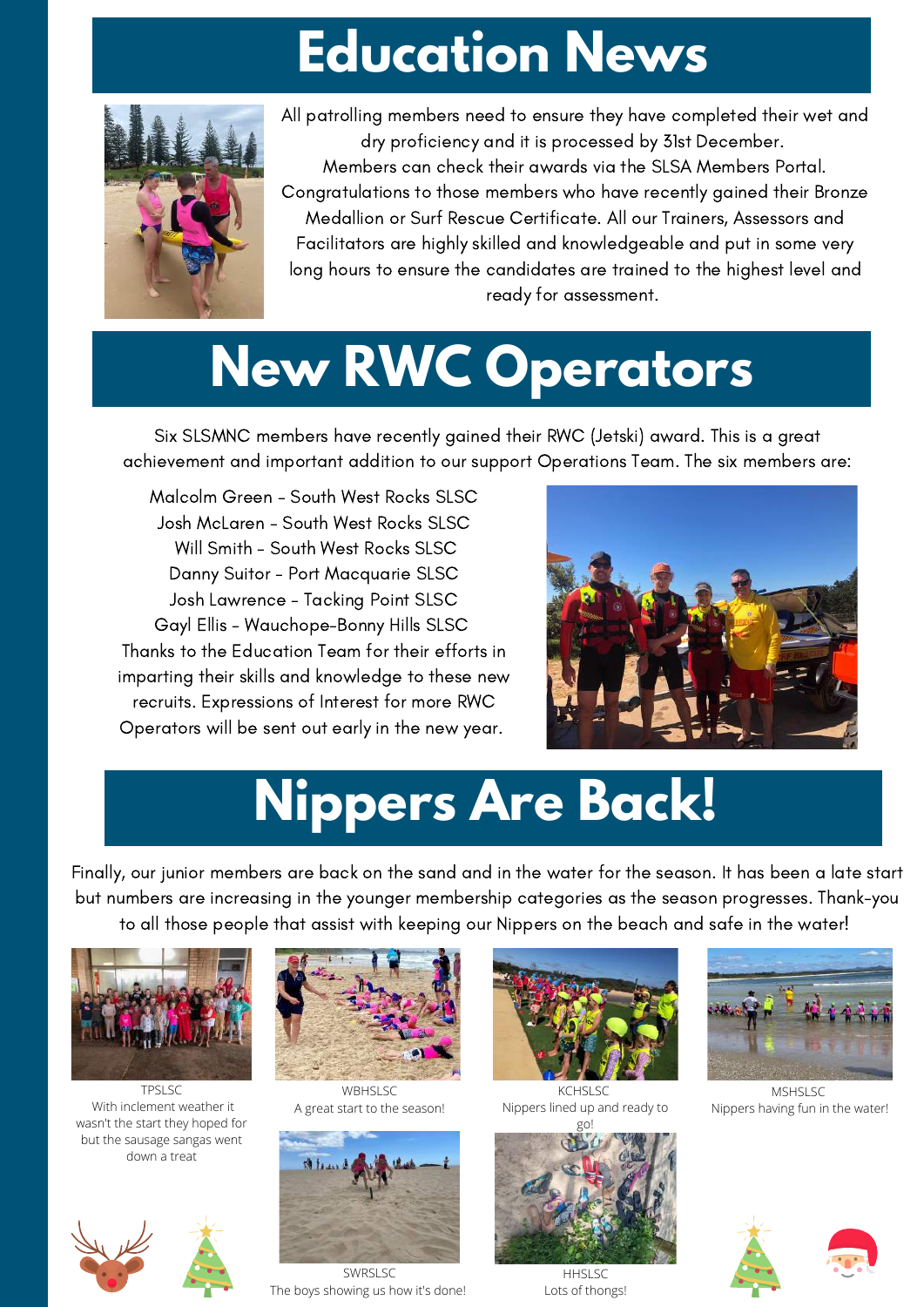## **Education News**



All patrolling members need to ensure they have completed their wet and dry proficiency and it is processed by 31st December. Members can check their awards via the SLSA Members Portal. Congratulations to those members who have recently gained their Bronze Medallion or Surf Rescue Certificate. All our Trainers, Assessors and Facilitators are highly skilled and knowledgeable and put in some very long hours to ensure the candidates are trained to the highest level and ready for assessment.

# **New RWC Operators**

Six SLSMNC members have recently gained their RWC (Jetski) award. This is a great achievement and important addition to our support Operations Team. The six members are:

Malcolm Green - South West Rocks SLSC Josh McLaren - South West Rocks SLSC Will Smith - South West Rocks SLSC Danny Suitor - Port Macquarie SLSC Josh Lawrence - Tacking Point SLSC Gayl Ellis - Wauchope-Bonny Hills SLSC Thanks to the Education Team for their efforts in imparting their skills and knowledge to these new recruits. Expressions of Interest for more RWC Operators will be sent out early in the new year.



## **Nippers Are Back!**

Finally, our junior members are back on the sand and in the water for the season. It has been a late start but numbers are increasing in the younger membership categories as the season progresses. Thank-you to all those people that assist with keeping our Nippers on the beach and safe in the water!



TPSLSC With inclement weather it wasn't the start they hoped for but the sausage sangas went down a treat





WBHSLSC A great start to the season!



SWRSLSC The boys showing us how it's done!



KCHSLSC Nippers lined up and ready to g<sub>o</sub>



HHSLSC Lots of thongs!



MSHSLSC Nippers having fun in the water!